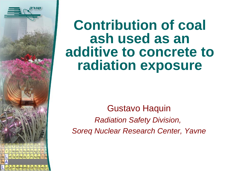

# **Contribution of coal ash used as an additive to concrete to radiation exposure**

Gustavo Haquin *Radiation Safety Division, Soreq Nuclear Research Center, Yavne*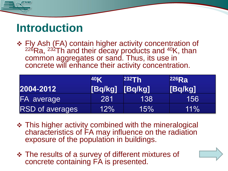## **Introduction**

 Fly Ash (FA) contain higher activity concentration of  $226$ Ra,  $232$ Th and their decay products and  $40$ K, than common aggregates or sand. Thus, its use in concrete will enhance their activity concentration.

|                   | 40K             | 232Th | 226Ra   |
|-------------------|-----------------|-------|---------|
| 2004-2012         | [Bq/kg] [Bq/kg] |       | [Bq/kg] |
| <b>FA</b> average | 281             | 138   | 156     |
| RSD of averages   | $12\%$          | 15%   | /11%    |

- **\*** This higher activity combined with the mineralogical characteristics of FA may influence on the radiation exposure of the population in buildings.
- The results of a survey of different mixtures of concrete containing FA is presented.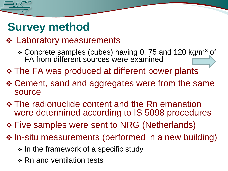

# **Survey method**

#### **❖ Laboratory measurements**

- Concrete samples (cubes) having 0, 75 and 120 [kg/m](#page-16-0)<sup>3</sup> of FA from different sources were examined
- The FA was produced at different power plants
- **❖ Cement, sand and aggregates were from the same** source
- The radionuclide content and the Rn emanation were determined according to IS 5098 procedures
- **❖ Five samples were sent to NRG (Netherlands)**
- <span id="page-2-0"></span>**In-situ measurements (performed in a new building)** 
	- $\cdot$  In the framework of a specific study
	- \* Rn and ventilation tests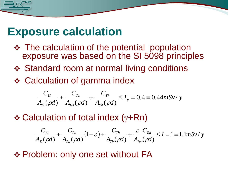### **Exposure calculation**

- $\div$  **The calculation of the potential population** exposure was based on the SI 5098 principles
- **❖ Standard room at normal living conditions**
- Calculation of gamma index

$$
\frac{C_K}{A_K(\rho d)} + \frac{C_{Ra}}{A_{Ra}(\rho d)} + \frac{C_{Th}}{A_{Th}(\rho d)} \le I_{\gamma} = 0.4 \equiv 0.44 mSv / y
$$

 $\div$  Calculation of total index ( $\gamma$ +Rn)

$$
\frac{C_K}{A_K(\rho d)} + \frac{C_{Ra}}{A_{Ra}(\rho d)} + \frac{C_{Th}}{A_{Th}(\rho d)} \le I_{\gamma} = 0.4 \equiv 0.44 mSv / y
$$
  
\n
$$
∴ \text{Calculation of total index } (\gamma + Rn)
$$
  
\n
$$
\frac{C_K}{A_K(\rho d)} + \frac{C_{Ra}}{A_{Ra}(\rho d)} (1 - \varepsilon) + \frac{C_{Th}}{A_{Th}(\rho d)} + \frac{\varepsilon \cdot C_{Ra}}{A_{Rn}(\rho d)} \le I = 1 \equiv 1.1 mSv / y
$$
  
\n
$$
∴ \text{Problem: only one set without FA}
$$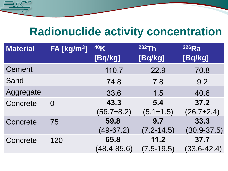

שור

| <b>Material</b> | FA [kg/m <sup>3</sup> ] | 40K<br>[Bq/kg]           | 232Th<br>[Bq/kg]       | 226Ra<br>[Bq/kg]        |
|-----------------|-------------------------|--------------------------|------------------------|-------------------------|
| Cement          |                         | 110.7                    | 22.9                   | 70.8                    |
| Sand            |                         | 74.8                     | 7.8                    | 9.2                     |
| Aggregate       |                         | 33.6                     | 1.5                    | 40.6                    |
| Concrete        | $\overline{0}$          | 43.3<br>$(56.7 \pm 8.2)$ | 5.4<br>$(5.1 \pm 1.5)$ | 37.2<br>(26.7±2.4)      |
| Concrete        | 75                      | 59.8<br>$(49-67.2)$      | 9.7<br>$(7.2 - 14.5)$  | 33.3<br>$(30.9 - 37.5)$ |
| Concrete        | 120                     | 65.8<br>$(48.4 - 85.6)$  | 11.2<br>$(7.5 - 19.5)$ | 37.7<br>$(33.6 - 42.4)$ |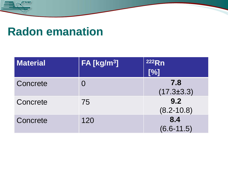

## **Radon emanation**

| <b>Material</b> | $\overline{\mathsf{FA}\left[\mathsf{kg/m^3}\right]}$ | 222Rn<br>[%]            |
|-----------------|------------------------------------------------------|-------------------------|
| Concrete        | $\bigcap$                                            | 7.8<br>$(17.3 \pm 3.3)$ |
| Concrete        | 75                                                   | 9.2<br>$(8.2 - 10.8)$   |
| Concrete        | 120                                                  | 8.4<br>$(6.6 - 11.5)$   |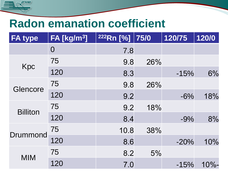## **Radon emanation coefficient**

| <b>FA type</b>  | FA [kg/m <sup>3</sup> ] | 222Rn [%] | 75/0 | 120/75 | 120/0   |
|-----------------|-------------------------|-----------|------|--------|---------|
|                 | $\overline{0}$          | 7.8       |      |        |         |
| Kpc             | 75                      | 9.8       | 26%  |        |         |
|                 | 120                     | 8.3       |      | $-15%$ | 6%      |
|                 | 75                      | 9.8       | 26%  |        |         |
| Glencore        | 120                     | 9.2       |      | $-6%$  | 18%     |
| <b>Billiton</b> | 75                      | 9.2       | 18%  |        |         |
|                 | 120                     | 8.4       |      | $-9%$  | 8%      |
| <b>Drummond</b> | 75                      | 10.8      | 38%  |        |         |
|                 | 120                     | 8.6       |      | $-20%$ | 10%     |
|                 | 75                      | 8.2       | 5%   |        |         |
| <b>MIM</b>      | 120                     | 7.0       |      | $-15%$ | $10% -$ |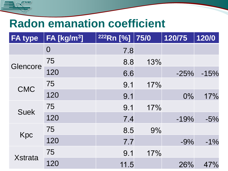## **Radon emanation coefficient**

| <b>FA type</b> | FA [kg/m <sup>3</sup> ] | 222Rn [%] | 75/0 | 120/75 | 120/0  |
|----------------|-------------------------|-----------|------|--------|--------|
|                | $\overline{0}$          | 7.8       |      |        |        |
| Glencore       | 75                      | 8.8       | 13%  |        |        |
|                | 120                     | 6.6       |      | $-25%$ | $-15%$ |
| <b>CMC</b>     | 75                      | 9.1       | 17%  |        |        |
|                | 120                     | 9.1       |      | 0%     | 17%    |
| <b>Suek</b>    | 75                      | 9.1       | 17%  |        |        |
|                | 120                     | 7.4       |      | $-19%$ | $-5%$  |
| Kpc            | 75                      | 8.5       | 9%   |        |        |
|                | 120                     | 7.7       |      | $-9%$  | $-1\%$ |
|                | 75                      | 9.1       | 17%  |        |        |
| <b>Xstrata</b> | 120                     | 11.5      |      | 26%    | 47%    |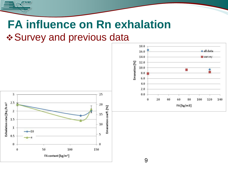## **FA influence on Rn exhalation ❖ Survey and previous data**



שורק



9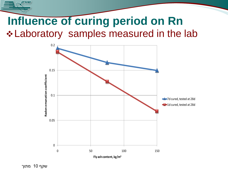## **Influence of curing period on Rn**

#### \* Laboratory samples measured in the lab



שקף 10 מתוך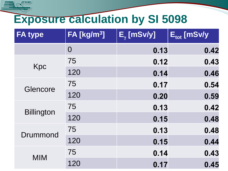## **Exposure calculation by SI 5098**

| <b>FA</b> type    | FA [kg/m <sup>3</sup> ] | $E_{\gamma}$ [mSv/y] | $\overline{\mathsf{E}_{\mathsf{tot}}}$ [mSv/y |
|-------------------|-------------------------|----------------------|-----------------------------------------------|
|                   | $\overline{0}$          | 0.13                 | 0.42                                          |
|                   | 75                      | 0.12                 | 0.43                                          |
| Kpc               | 120                     | 0.14                 | 0.46                                          |
| Glencore          | 75                      | 0.17                 | 0.54                                          |
|                   | 120                     | 0.20                 | 0.59                                          |
| <b>Billington</b> | 75                      | 0.13                 | 0.42                                          |
|                   | 120                     | 0.15                 | 0.48                                          |
| <b>Drummond</b>   | 75                      | 0.13                 | 0.48                                          |
|                   | 120                     | 0.15                 | 0.44                                          |
| <b>MIM</b>        | 75                      | 0.14                 | 0.43                                          |
|                   | 120                     | 0.17                 | 0.45                                          |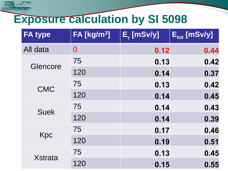## **Exposure calculation by SI 5098**

| <b>FA type</b> | FA [kg/m <sup>3</sup> ] | $\overline{\mathsf{E}_{\scriptscriptstyle \gamma}}$ [mSv/y] | $\overline{\mathsf{E}}_\mathsf{tot}\left[\mathsf{mSv/y}\right]$ |
|----------------|-------------------------|-------------------------------------------------------------|-----------------------------------------------------------------|
| All data       | $\overline{0}$          | 0.12                                                        | 0.44                                                            |
| Glencore       | 75                      | 0.13                                                        | 0.42                                                            |
|                | 120                     | 0.14                                                        | 0.37                                                            |
| <b>CMC</b>     | 75                      | 0.13                                                        | 0.42                                                            |
|                | 120                     | 0.14                                                        | 0.45                                                            |
| <b>Suek</b>    | 75                      | 0.14                                                        | 0.43                                                            |
|                | 120                     | 0.14                                                        | 0.39                                                            |
| Kpc            | 75                      | 0.17                                                        | 0.46                                                            |
|                | 120                     | 0.19                                                        | 0.51                                                            |
| <b>Xstrata</b> | 75                      | 0.13                                                        | 0.45                                                            |
|                | 120                     | 0.15                                                        | 0.55                                                            |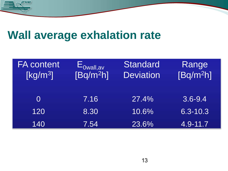

## **Wall average exhalation rate**

| <b>FA content</b><br>[Kg/m <sup>3</sup> ] | $\mathsf{E}_{\mathsf{Owall},\mathsf{av}}$<br>$[Bq/m^2h]$ | <b>Standard</b><br><b>Deviation</b> | Range<br>$[Bq/m^2h]$ |
|-------------------------------------------|----------------------------------------------------------|-------------------------------------|----------------------|
| $\Omega$                                  | 7.16                                                     | 27.4%                               | $3.6 - 9.4$          |
| 120                                       | 8.30                                                     | 10.6%                               | $6.3 - 10.3$         |
| 140                                       | 7.54                                                     | 23.6%                               | 4.9-11.7             |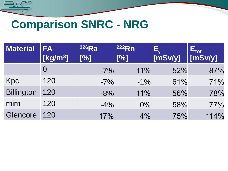

## **Comparison SNRC - NRG**

| <b>Material</b>   | <b>FA</b><br>[ $kg/m3$ ] | <sup>226</sup> Ra<br>[%] | 222Rn<br>[%] | $\lceil \text{msv/y} \rceil$ | $E_{\rm tot}$<br>[mSv/y] |
|-------------------|--------------------------|--------------------------|--------------|------------------------------|--------------------------|
|                   |                          | $-7%$                    | 11%          | 52%                          | 87%                      |
| Kpc               | 120                      | $-7%$                    | $-1\%$       | 61%                          | 71%                      |
| <b>Billington</b> | 120                      | $-8%$                    | 11%          | 56%                          | 78%                      |
| mim               | 120                      | $-4%$                    | $0\%$        | 58%                          | 77%                      |
| Glencore          | 120                      | 17%                      | 4%           | 75%                          | 114%                     |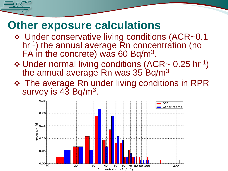## **Other exposure calculations**

- Under conservative living conditions (ACR~0.1 hr-1 ) the annual average Rn concentration (no FA in the concrete) was 60 Bq/m<sup>3</sup>.
- ❖ Under normal living conditions (ACR~ 0.25 hr<sup>-1</sup>) the annual average Rn was 35 Bq/m<sup>3</sup>
- **❖ The average Rn under living conditions in RPR** survey is 43 Bq/m $^3$ .

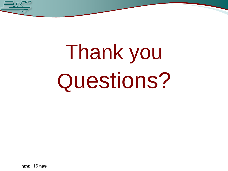

# Thank you Questions?

שקף 16 מתוך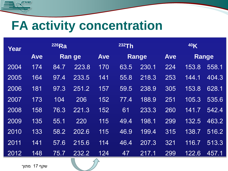# **FA activity concentration**

| Year |            | 226Ra |              | 232Th      |      | 40K   |            |       |              |
|------|------------|-------|--------------|------------|------|-------|------------|-------|--------------|
|      | <b>Ave</b> |       | <b>Range</b> | <b>Ave</b> |      | Range | <b>Ave</b> |       | <b>Range</b> |
| 2004 | 174        | 84.7  | 223.8        | 170        | 63.5 | 230.1 | 224        | 153.8 | 558.1        |
| 2005 | 164        | 97.4  | 233.5        | 141        | 55.8 | 218.3 | 253        | 144.1 | 404.3        |
| 2006 | 181        | 97.3  | 251.2        | 157        | 59.5 | 238.9 | 305        | 153.8 | 628.1        |
| 2007 | 173        | 104   | 206          | 152        | 77.4 | 188.9 | 251        | 105.3 | 535.6        |
| 2008 | 158        | 76.3  | 221.3        | 152        | 61   | 233.3 | 260        | 141.7 | 542.4        |
| 2009 | 135        | 55.1  | 220          | 115        | 49.4 | 198.1 | 299        | 132.5 | 463.2        |
| 2010 | 133        | 58.2  | 202.6        | 115        | 46.9 | 199.4 | 315        | 138.7 | 516.2        |
| 2011 | 141        | 57.6  | 215.6        | 114        | 46.4 | 207.3 | 321        | 116.7 | 513.3        |
| 2012 | 148        | 75.7  | 232.2        | 124        | 47   | 217.1 | 299        | 122.6 | 457.1        |

<span id="page-16-0"></span>